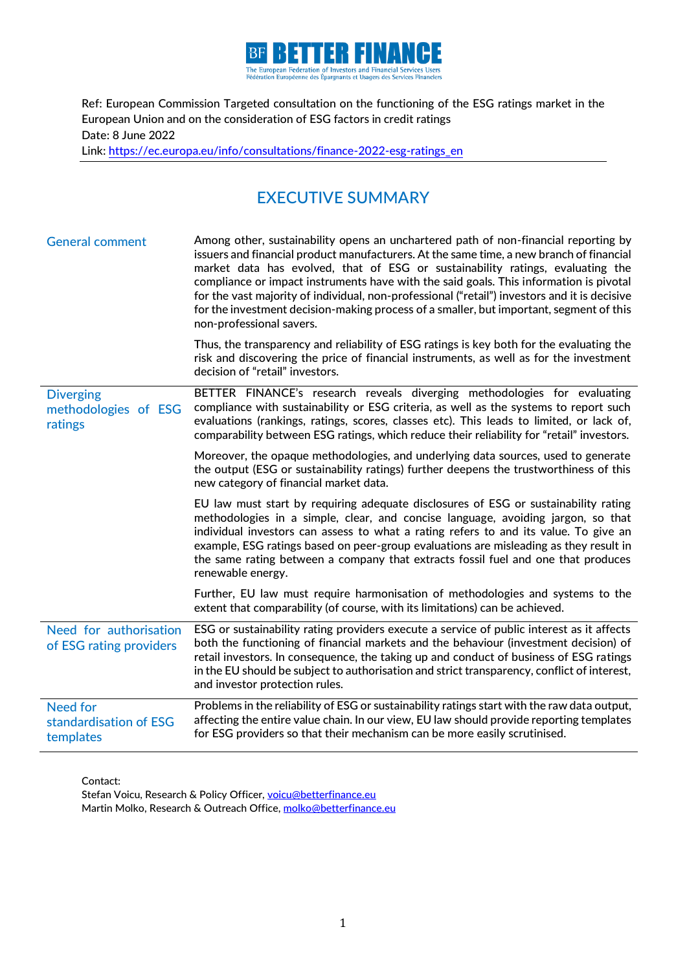

Ref: European Commission Targeted consultation on the functioning of the ESG ratings market in the European Union and on the consideration of ESG factors in credit ratings Date: 8 June 2022 Link: [https://ec.europa.eu/info/consultations/finance-2022-esg-ratings\\_en](https://ec.europa.eu/info/consultations/finance-2022-esg-ratings_en)

# EXECUTIVE SUMMARY

| <b>General comment</b>                                 | Among other, sustainability opens an unchartered path of non-financial reporting by<br>issuers and financial product manufacturers. At the same time, a new branch of financial<br>market data has evolved, that of ESG or sustainability ratings, evaluating the<br>compliance or impact instruments have with the said goals. This information is pivotal<br>for the vast majority of individual, non-professional ("retail") investors and it is decisive<br>for the investment decision-making process of a smaller, but important, segment of this<br>non-professional savers. |
|--------------------------------------------------------|-------------------------------------------------------------------------------------------------------------------------------------------------------------------------------------------------------------------------------------------------------------------------------------------------------------------------------------------------------------------------------------------------------------------------------------------------------------------------------------------------------------------------------------------------------------------------------------|
|                                                        | Thus, the transparency and reliability of ESG ratings is key both for the evaluating the<br>risk and discovering the price of financial instruments, as well as for the investment<br>decision of "retail" investors.                                                                                                                                                                                                                                                                                                                                                               |
| <b>Diverging</b><br>methodologies of ESG<br>ratings    | BETTER FINANCE's research reveals diverging methodologies for evaluating<br>compliance with sustainability or ESG criteria, as well as the systems to report such<br>evaluations (rankings, ratings, scores, classes etc). This leads to limited, or lack of,<br>comparability between ESG ratings, which reduce their reliability for "retail" investors.                                                                                                                                                                                                                          |
|                                                        | Moreover, the opaque methodologies, and underlying data sources, used to generate<br>the output (ESG or sustainability ratings) further deepens the trustworthiness of this<br>new category of financial market data.                                                                                                                                                                                                                                                                                                                                                               |
|                                                        | EU law must start by requiring adequate disclosures of ESG or sustainability rating<br>methodologies in a simple, clear, and concise language, avoiding jargon, so that<br>individual investors can assess to what a rating refers to and its value. To give an<br>example, ESG ratings based on peer-group evaluations are misleading as they result in<br>the same rating between a company that extracts fossil fuel and one that produces<br>renewable energy.                                                                                                                  |
|                                                        | Further, EU law must require harmonisation of methodologies and systems to the<br>extent that comparability (of course, with its limitations) can be achieved.                                                                                                                                                                                                                                                                                                                                                                                                                      |
| Need for authorisation<br>of ESG rating providers      | ESG or sustainability rating providers execute a service of public interest as it affects<br>both the functioning of financial markets and the behaviour (investment decision) of<br>retail investors. In consequence, the taking up and conduct of business of ESG ratings<br>in the EU should be subject to authorisation and strict transparency, conflict of interest,<br>and investor protection rules.                                                                                                                                                                        |
| <b>Need for</b><br>standardisation of ESG<br>templates | Problems in the reliability of ESG or sustainability ratings start with the raw data output,<br>affecting the entire value chain. In our view, EU law should provide reporting templates<br>for ESG providers so that their mechanism can be more easily scrutinised.                                                                                                                                                                                                                                                                                                               |

Contact:

Stefan Voicu, Research & Policy Officer[, voicu@betterfinance.eu](mailto:voicu@betterfinance.eu) Martin Molko, Research & Outreach Office[, molko@betterfinance.eu](mailto:molko@betterfinance.eu)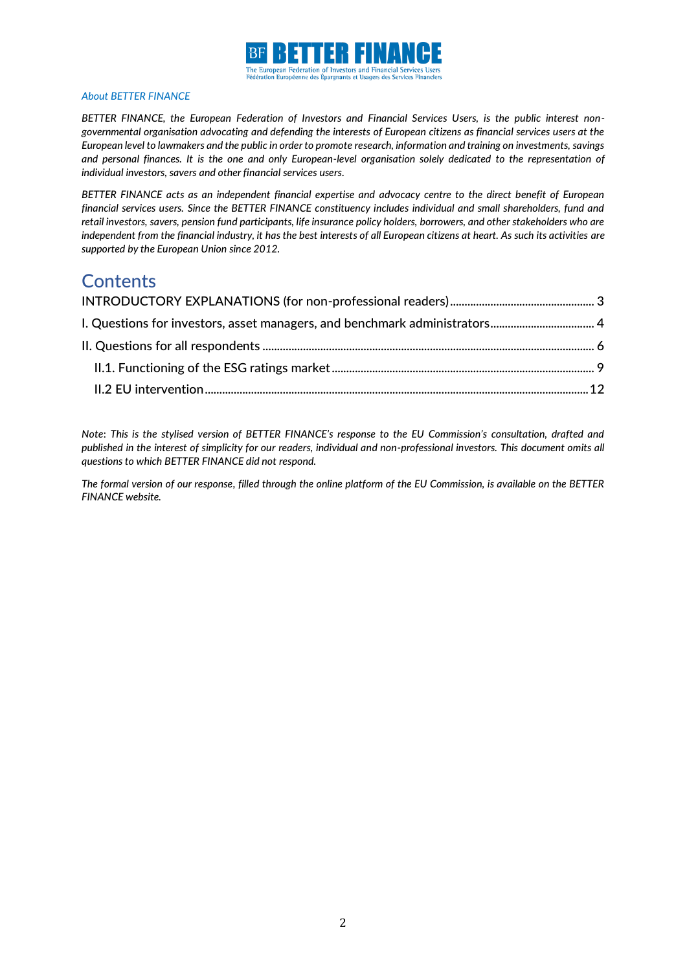

#### *About BETTER FINANCE*

*BETTER FINANCE, the European Federation of Investors and Financial Services Users, is the public interest nongovernmental organisation advocating and defending the interests of European citizens as financial services users at the European level to lawmakers and the public in order to promote research, information and training on investments, savings and personal finances. It is the one and only European-level organisation solely dedicated to the representation of individual investors, savers and other financial services users.*

*BETTER FINANCE acts as an independent financial expertise and advocacy centre to the direct benefit of European financial services users. Since the BETTER FINANCE constituency includes individual and small shareholders, fund and retail investors, savers, pension fund participants, life insurance policy holders, borrowers, and other stakeholders who are independent from the financial industry, it has the best interests of all European citizens at heart. As such its activities are supported by the European Union since 2012.*

# **Contents**

*Note*: *This is the stylised version of BETTER FINANCE's response to the EU Commission's consultation, drafted and published in the interest of simplicity for our readers, individual and non-professional investors. This document omits all questions to which BETTER FINANCE did not respond.* 

*The formal version of our response, filled through the online platform of the EU Commission, is available on the BETTER FINANCE website.*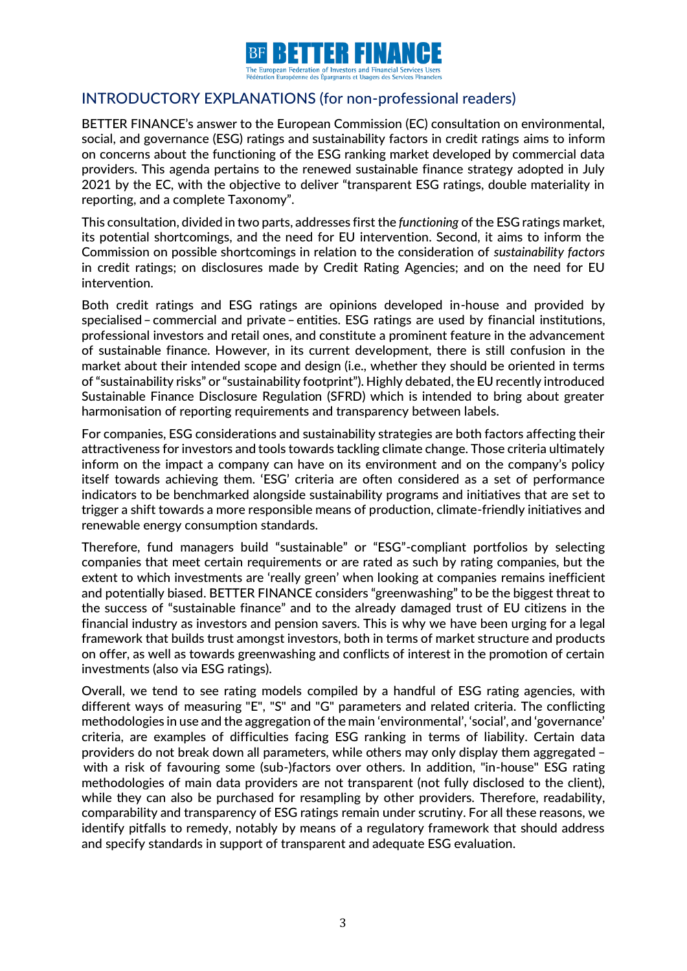

# <span id="page-2-0"></span>INTRODUCTORY EXPLANATIONS (for non-professional readers)

BETTER FINANCE's answer to the European Commission (EC) consultation on environmental, social, and governance (ESG) ratings and sustainability factors in credit ratings aims to inform on concerns about the functioning of the ESG ranking market developed by commercial data providers. This agenda pertains to the renewed sustainable finance strategy adopted in July 2021 by the EC, with the objective to deliver "transparent ESG ratings, double materiality in reporting, and a complete Taxonomy".

This consultation, divided in two parts, addresses first the *functioning* of the ESG ratings market, its potential shortcomings, and the need for EU intervention. Second, it aims to inform the Commission on possible shortcomings in relation to the consideration of *sustainability factors* in credit ratings; on disclosures made by Credit Rating Agencies; and on the need for EU intervention.

Both credit ratings and ESG ratings are opinions developed in-house and provided by specialised– commercial and private–entities. ESG ratings are used by financial institutions, professional investors and retail ones, and constitute a prominent feature in the advancement of sustainable finance. However, in its current development, there is still confusion in the market about their intended scope and design (i.e., whether they should be oriented in terms of "sustainability risks" or "sustainability footprint"). Highly debated, the EU recently introduced Sustainable Finance Disclosure Regulation (SFRD) which is intended to bring about greater harmonisation of reporting requirements and transparency between labels.

For companies, ESG considerations and sustainability strategies are both factors affecting their attractiveness for investors and tools towards tackling climate change. Those criteria ultimately inform on the impact a company can have on its environment and on the company's policy itself towards achieving them. 'ESG' criteria are often considered as a set of performance indicators to be benchmarked alongside sustainability programs and initiatives that are set to trigger a shift towards a more responsible means of production, climate-friendly initiatives and renewable energy consumption standards.

Therefore, fund managers build "sustainable" or "ESG"-compliant portfolios by selecting companies that meet certain requirements or are rated as such by rating companies, but the extent to which investments are 'really green' when looking at companies remains inefficient and potentially biased. BETTER FINANCE considers "greenwashing" to be the biggest threat to the success of "sustainable finance" and to the already damaged trust of EU citizens in the financial industry as investors and pension savers. This is why we have been urging for a legal framework that builds trust amongst investors, both in terms of market structure and products on offer, as well as towards greenwashing and conflicts of interest in the promotion of certain investments (also via ESG ratings).

Overall, we tend to see rating models compiled by a handful of ESG rating agencies, with different ways of measuring "E", "S" and "G" parameters and related criteria. The conflicting methodologies in use and the aggregation of the main 'environmental', 'social', and 'governance' criteria, are examples of difficulties facing ESG ranking in terms of liability. Certain data providers do not break down all parameters, while others may only display them aggregated – with a risk of favouring some (sub-)factors over others. In addition, "in-house" ESG rating methodologies of main data providers are not transparent (not fully disclosed to the client), while they can also be purchased for resampling by other providers. Therefore, readability, comparability and transparency of ESG ratings remain under scrutiny. For all these reasons, we identify pitfalls to remedy, notably by means of a regulatory framework that should address and specify standards in support of transparent and adequate ESG evaluation.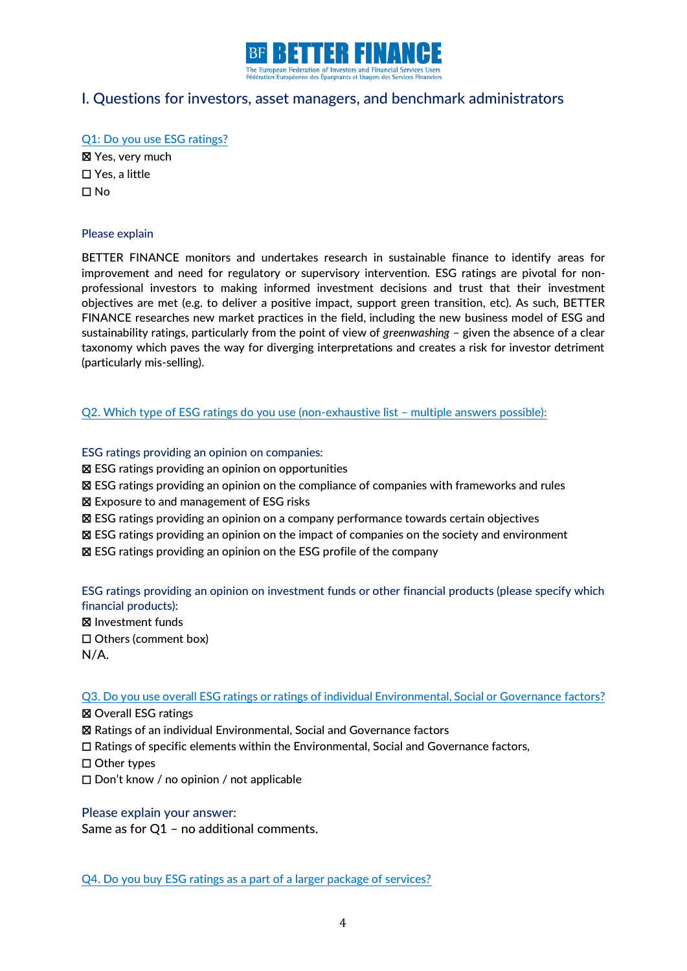

# <span id="page-3-0"></span>I. Questions for investors, asset managers, and benchmark administrators

Q1: Do you use ESG ratings? ☒ Yes, very much

☐ Yes, a little ☐ No

#### Please explain

BETTER FINANCE monitors and undertakes research in sustainable finance to identify areas for improvement and need for regulatory or supervisory intervention. ESG ratings are pivotal for nonprofessional investors to making informed investment decisions and trust that their investment objectives are met (e.g. to deliver a positive impact, support green transition, etc). As such, BETTER FINANCE researches new market practices in the field, including the new business model of ESG and sustainability ratings, particularly from the point of view of *greenwashing* – given the absence of a clear taxonomy which paves the way for diverging interpretations and creates a risk for investor detriment (particularly mis-selling).

### Q2. Which type of ESG ratings do you use (non-exhaustive list – multiple answers possible):

#### ESG ratings providing an opinion on companies:

- ☒ ESG ratings providing an opinion on opportunities
- ☒ ESG ratings providing an opinion on the compliance of companies with frameworks and rules
- ☒ Exposure to and management of ESG risks
- ☒ ESG ratings providing an opinion on a company performance towards certain objectives
- ☒ ESG ratings providing an opinion on the impact of companies on the society and environment
- ☒ ESG ratings providing an opinion on the ESG profile of the company

ESG ratings providing an opinion on investment funds or other financial products (please specify which financial products):

☒ Investment funds

☐ Others (comment box)

N/A.

Q3. Do you use overall ESG ratings or ratings of individual Environmental, Social or Governance factors?

☒ Overall ESG ratings ☒ Ratings of an individual Environmental, Social and Governance factors ☐ Ratings of specific elements within the Environmental, Social and Governance factors, ☐ Other types ☐ Don't know / no opinion / not applicable

#### Please explain your answer:

Same as for Q1 – no additional comments.

Q4. Do you buy ESG ratings as a part of a larger package of services?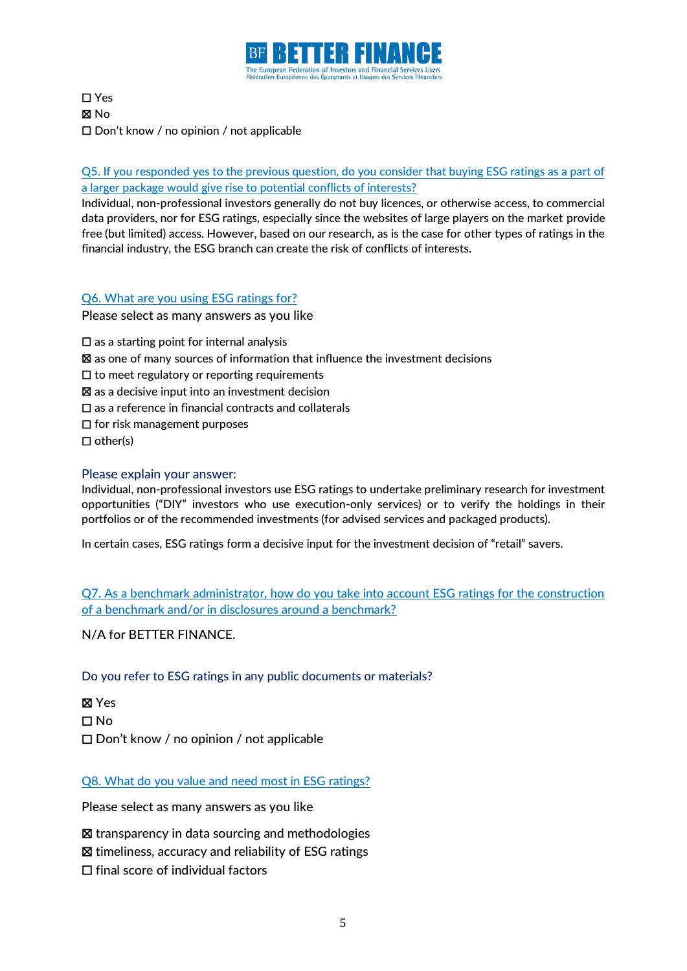

☐ Yes ☒ No ☐ Don't know / no opinion / not applicable

Q5. If you responded yes to the previous question, do you consider that buying ESG ratings as a part of a larger package would give rise to potential conflicts of interests?

Individual, non-professional investors generally do not buy licences, or otherwise access, to commercial data providers, nor for ESG ratings, especially since the websites of large players on the market provide free (but limited) access. However, based on our research, as is the case for other types of ratings in the financial industry, the ESG branch can create the risk of conflicts of interests.

### Q6. What are you using ESG ratings for?

Please select as many answers as you like

- $\square$  as a starting point for internal analysis
- $\boxtimes$  as one of many sources of information that influence the investment decisions
- $\Box$  to meet regulatory or reporting requirements
- ☒ as a decisive input into an investment decision
- ☐ as a reference in financial contracts and collaterals
- ☐ for risk management purposes
- $\Box$  other(s)

### Please explain your answer:

Individual, non-professional investors use ESG ratings to undertake preliminary research for investment opportunities ("DIY" investors who use execution-only services) or to verify the holdings in their portfolios or of the recommended investments (for advised services and packaged products).

In certain cases, ESG ratings form a decisive input for the investment decision of "retail" savers.

Q7. As a benchmark administrator, how do you take into account ESG ratings for the construction of a benchmark and/or in disclosures around a benchmark?

N/A for BETTER FINANCE.

Do you refer to ESG ratings in any public documents or materials?

☒ Yes ☐ No ☐ Don't know / no opinion / not applicable

Q8. What do you value and need most in ESG ratings?

Please select as many answers as you like

☒ transparency in data sourcing and methodologies

☒ timeliness, accuracy and reliability of ESG ratings

☐ final score of individual factors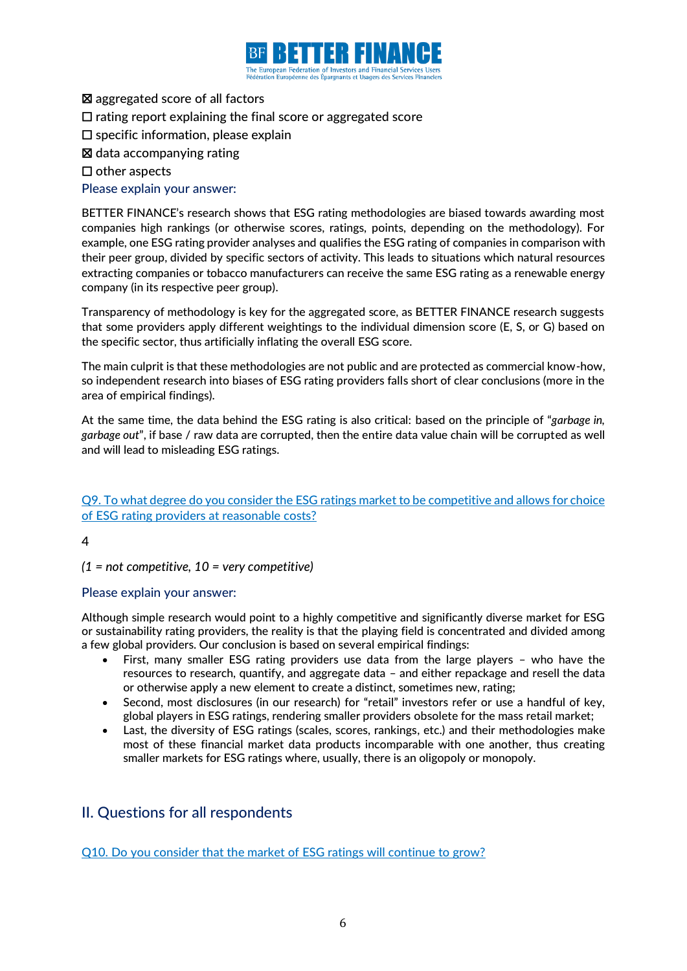

- ☒ aggregated score of all factors
- ☐ rating report explaining the final score or aggregated score
- ☐ specific information, please explain
- ☒ data accompanying rating
- ☐ other aspects

### Please explain your answer:

BETTER FINANCE's research shows that ESG rating methodologies are biased towards awarding most companies high rankings (or otherwise scores, ratings, points, depending on the methodology). For example, one ESG rating provider analyses and qualifies the ESG rating of companies in comparison with their peer group, divided by specific sectors of activity. This leads to situations which natural resources extracting companies or tobacco manufacturers can receive the same ESG rating as a renewable energy company (in its respective peer group).

Transparency of methodology is key for the aggregated score, as BETTER FINANCE research suggests that some providers apply different weightings to the individual dimension score (E, S, or G) based on the specific sector, thus artificially inflating the overall ESG score.

The main culprit is that these methodologies are not public and are protected as commercial know-how, so independent research into biases of ESG rating providers falls short of clear conclusions (more in the area of empirical findings).

At the same time, the data behind the ESG rating is also critical: based on the principle of "*garbage in, garbage out*", if base / raw data are corrupted, then the entire data value chain will be corrupted as well and will lead to misleading ESG ratings.

Q9. To what degree do you consider the ESG ratings market to be competitive and allows for choice of ESG rating providers at reasonable costs?

 $\Delta$ 

*(1 = not competitive, 10 = very competitive)*

### Please explain your answer:

Although simple research would point to a highly competitive and significantly diverse market for ESG or sustainability rating providers, the reality is that the playing field is concentrated and divided among a few global providers. Our conclusion is based on several empirical findings:

- First, many smaller ESG rating providers use data from the large players who have the resources to research, quantify, and aggregate data – and either repackage and resell the data or otherwise apply a new element to create a distinct, sometimes new, rating;
- Second, most disclosures (in our research) for "retail" investors refer or use a handful of key, global players in ESG ratings, rendering smaller providers obsolete for the mass retail market;
- Last, the diversity of ESG ratings (scales, scores, rankings, etc.) and their methodologies make most of these financial market data products incomparable with one another, thus creating smaller markets for ESG ratings where, usually, there is an oligopoly or monopoly.

# <span id="page-5-0"></span>II. Questions for all respondents

Q10. Do you consider that the market of ESG ratings will continue to grow?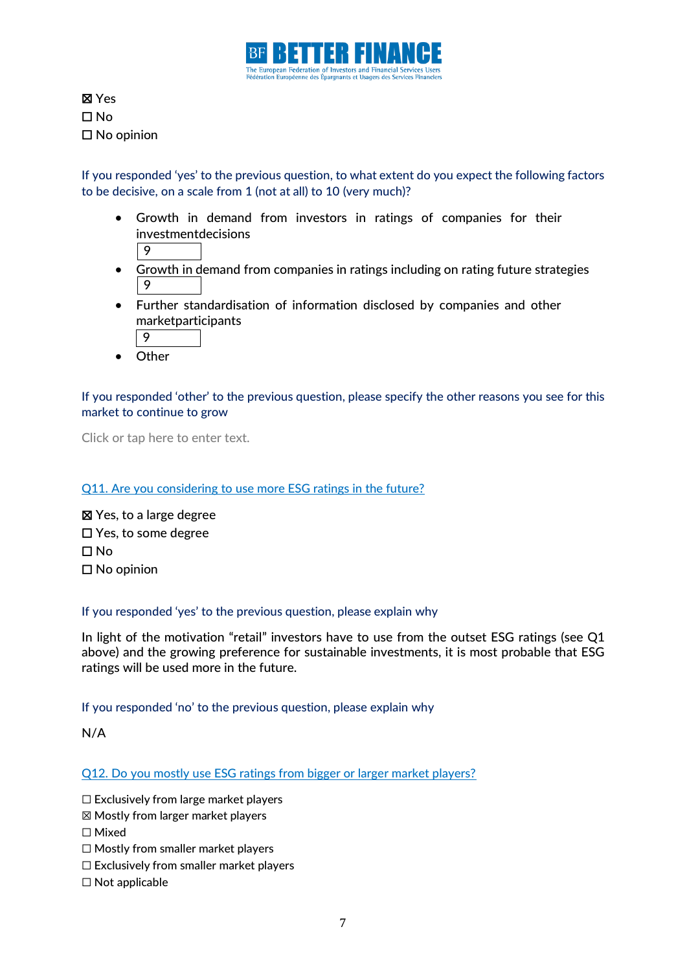

☒ Yes ☐ No ☐ No opinion

If you responded 'yes' to the previous question, to what extent do you expect the following factors to be decisive, on a scale from 1 (not at all) to 10 (very much)?

- Growth in demand from investors in ratings of companies for their investmentdecisions
	- 9
- Growth in demand from companies in ratings including on rating future strategies 9
- Further standardisation of information disclosed by companies and other marketparticipants
	- 9
- Other

### If you responded 'other' to the previous question, please specify the other reasons you see for this market to continue to grow

Click or tap here to enter text.

### Q11. Are you considering to use more ESG ratings in the future?

☒ Yes, to a large degree ☐ Yes, to some degree ☐ No ☐ No opinion

### If you responded 'yes' to the previous question, please explain why

In light of the motivation "retail" investors have to use from the outset ESG ratings (see Q1 above) and the growing preference for sustainable investments, it is most probable that ESG ratings will be used more in the future.

### If you responded 'no' to the previous question, please explain why

N/A

Q12. Do you mostly use ESG ratings from bigger or larger market players?

☐ Exclusively from large market players

- ☒ Mostly from larger market players
- ☐ Mixed
- ☐ Mostly from smaller market players
- ☐ Exclusively from smaller market players
- ☐ Not applicable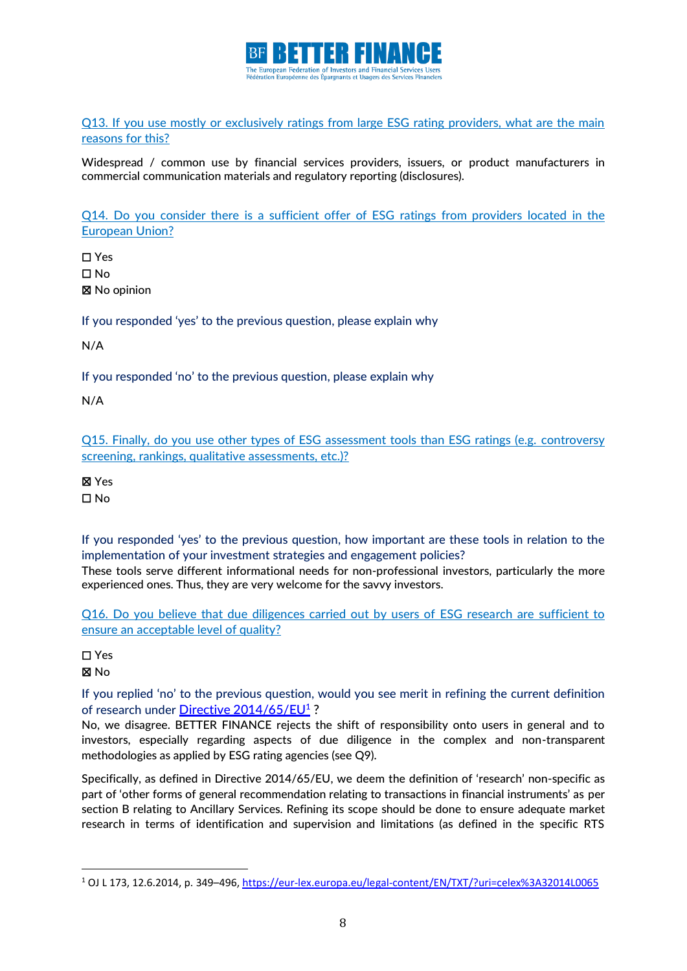

Q13. If you use mostly or exclusively ratings from large ESG rating providers, what are the main reasons for this?

Widespread / common use by financial services providers, issuers, or product manufacturers in commercial communication materials and regulatory reporting (disclosures).

Q14. Do you consider there is a sufficient offer of ESG ratings from providers located in the European Union?

☐ Yes ☐ No ☒ No opinion

If you responded 'yes' to the previous question, please explain why

N/A

If you responded 'no' to the previous question, please explain why

N/A

Q15. Finally, do you use other types of ESG assessment tools than ESG ratings (e.g. controversy screening, rankings, qualitative assessments, etc.)?

☒ Yes

☐ No

If you responded 'yes' to the previous question, how important are these tools in relation to the implementation of your investment strategies and engagement policies?

These tools serve different informational needs for non-professional investors, particularly the more experienced ones. Thus, they are very welcome for the savvy investors.

Q16. Do you believe that due diligences carried out by users of ESG research are sufficient to ensure an acceptable level of quality?

☐ Yes

☒ No

If you replied 'no' to the previous question, would you see merit in refining the current definition of research under <mark>Directive [2014/65/EU](https://eur-lex.europa.eu/legal-content/EN/TXT/?uri=CELEX%3A32014L0065)<sup>1</sup></u> ?</mark>

No, we disagree. BETTER FINANCE rejects the shift of responsibility onto users in general and to investors, especially regarding aspects of due diligence in the complex and non-transparent methodologies as applied by ESG rating agencies (see Q9).

Specifically, as defined in Directive 2014/65/EU, we deem the definition of 'research' non-specific as part of 'other forms of general recommendation relating to transactions in financial instruments' as per section B relating to Ancillary Services. Refining its scope should be done to ensure adequate market research in terms of identification and supervision and limitations (as defined in the specific RTS

<sup>1</sup> OJ L 173, 12.6.2014, p. 349–496,<https://eur-lex.europa.eu/legal-content/EN/TXT/?uri=celex%3A32014L0065>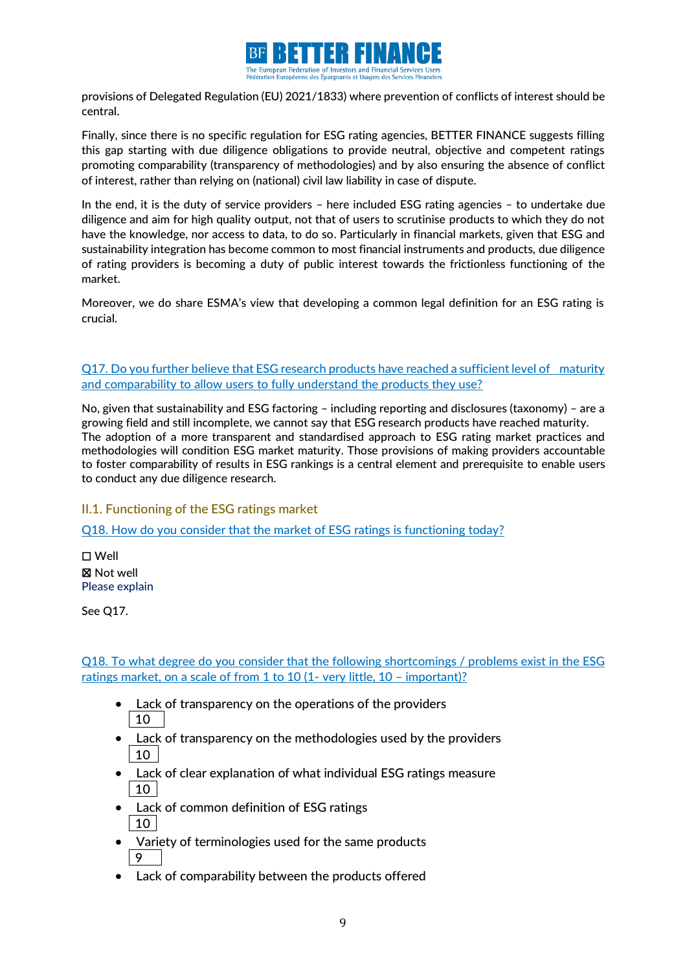

provisions of Delegated Regulation (EU) 2021/1833) where prevention of conflicts of interest should be central.

Finally, since there is no specific regulation for ESG rating agencies, BETTER FINANCE suggests filling this gap starting with due diligence obligations to provide neutral, objective and competent ratings promoting comparability (transparency of methodologies) and by also ensuring the absence of conflict of interest, rather than relying on (national) civil law liability in case of dispute.

In the end, it is the duty of service providers – here included ESG rating agencies – to undertake due diligence and aim for high quality output, not that of users to scrutinise products to which they do not have the knowledge, nor access to data, to do so. Particularly in financial markets, given that ESG and sustainability integration has become common to most financial instruments and products, due diligence of rating providers is becoming a duty of public interest towards the frictionless functioning of the market.

Moreover, we do share ESMA's view that developing a common legal definition for an ESG rating is crucial.

Q17. Do you further believe that ESG research products have reached a sufficient level of maturity and comparability to allow users to fully understand the products they use?

No, given that sustainability and ESG factoring – including reporting and disclosures (taxonomy) – are a growing field and still incomplete, we cannot say that ESG research products have reached maturity. The adoption of a more transparent and standardised approach to ESG rating market practices and methodologies will condition ESG market maturity. Those provisions of making providers accountable to foster comparability of results in ESG rankings is a central element and prerequisite to enable users to conduct any due diligence research.

### <span id="page-8-0"></span>II.1. Functioning of the ESG ratings market

Q18. How do you consider that the market of ESG ratings is functioning today?

☐ Well ☒ Not well Please explain

See Q17.

Q18. To what degree do you consider that the following shortcomings / problems exist in the ESG ratings market, on a scale of from 1 to 10 (1- very little, 10 – important)?

- Lack of transparency on the operations of the providers  $\vert$  10
- Lack of transparency on the methodologies used by the providers 10
- Lack of clear explanation of what individual ESG ratings measure 10
- Lack of common definition of ESG ratings 10
- Variety of terminologies used for the same products 9
- Lack of comparability between the products offered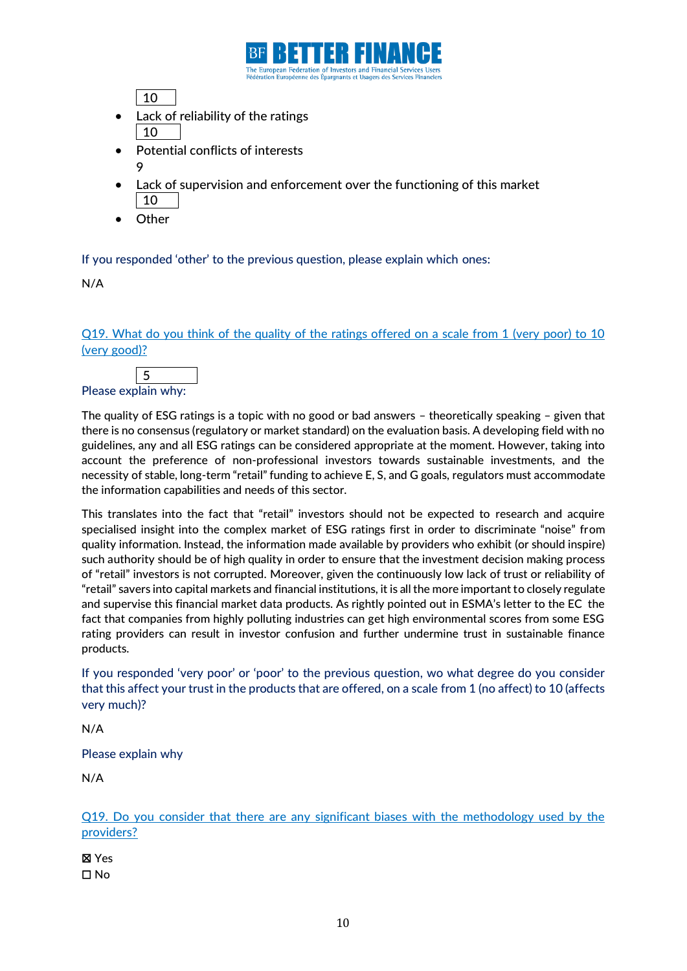

10

- Lack of reliability of the ratings 10
- Potential conflicts of interests 9
- Lack of supervision and enforcement over the functioning of this market 10
- **Other**

If you responded 'other' to the previous question, please explain which ones:

N/A

Q19. What do you think of the quality of the ratings offered on a scale from 1 (very poor) to 10 (very good)?



Please explain why:

The quality of ESG ratings is a topic with no good or bad answers – theoretically speaking – given that there is no consensus (regulatory or market standard) on the evaluation basis. A developing field with no guidelines, any and all ESG ratings can be considered appropriate at the moment. However, taking into account the preference of non-professional investors towards sustainable investments, and the necessity of stable, long-term "retail" funding to achieve E, S, and G goals, regulators must accommodate the information capabilities and needs of this sector.

This translates into the fact that "retail" investors should not be expected to research and acquire specialised insight into the complex market of ESG ratings first in order to discriminate "noise" from quality information. Instead, the information made available by providers who exhibit (or should inspire) such authority should be of high quality in order to ensure that the investment decision making process of "retail" investors is not corrupted. Moreover, given the continuously low lack of trust or reliability of "retail" savers into capital markets and financial institutions, it is all the more important to closely regulate and supervise this financial market data products. As rightly pointed out in ESMA's letter to the EC the fact that companies from highly polluting industries can get high environmental scores from some ESG rating providers can result in investor confusion and further undermine trust in sustainable finance products.

If you responded 'very poor' or 'poor' to the previous question, wo what degree do you consider that this affect your trust in the products that are offered, on a scale from 1 (no affect) to 10 (affects very much)?

N/A

Please explain why

N/A

Q19. Do you consider that there are any significant biases with the methodology used by the providers?

☒ Yes ☐ No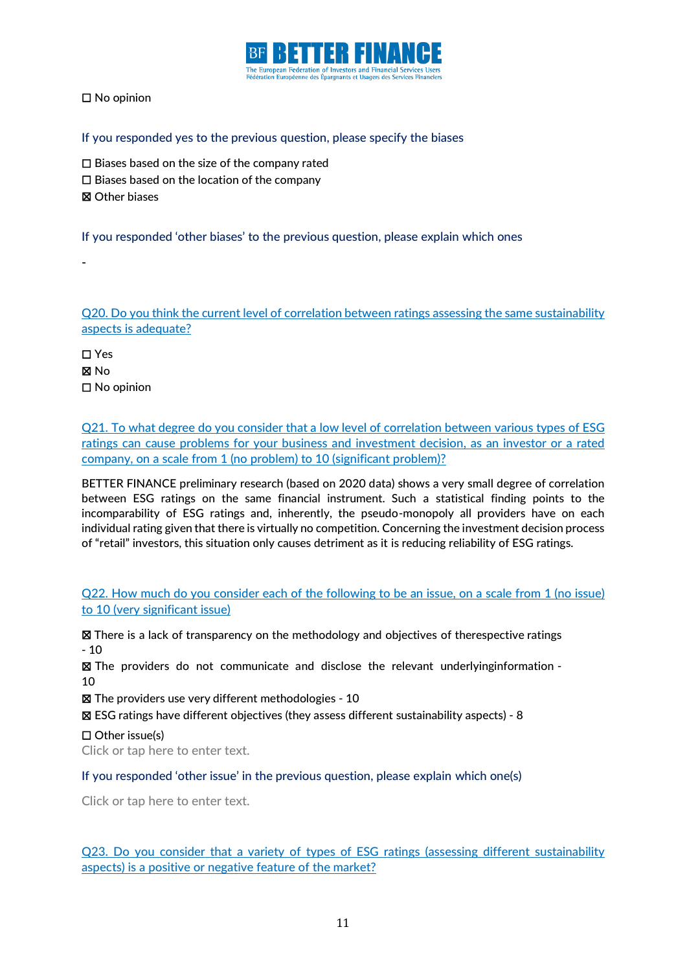

☐ No opinion

#### If you responded yes to the previous question, please specify the biases

- $\Box$  Biases based on the size of the company rated
- ☐ Biases based on the location of the company
- ☒ Other biases

-

If you responded 'other biases' to the previous question, please explain which ones

Q20. Do you think the current level of correlation between ratings assessing the same sustainability aspects is adequate?

☐ Yes ☒ No ☐ No opinion

Q21. To what degree do you consider that a low level of correlation between various types of ESG ratings can cause problems for your business and investment decision, as an investor or a rated company, on a scale from 1 (no problem) to 10 (significant problem)?

BETTER FINANCE preliminary research (based on 2020 data) shows a very small degree of correlation between ESG ratings on the same financial instrument. Such a statistical finding points to the incomparability of ESG ratings and, inherently, the pseudo-monopoly all providers have on each individual rating given that there is virtually no competition. Concerning the investment decision process of "retail" investors, this situation only causes detriment as it is reducing reliability of ESG ratings.

### Q22. How much do you consider each of the following to be an issue, on a scale from 1 (no issue) to 10 (very significant issue)

☒ There is a lack of transparency on the methodology and objectives of therespective ratings - 10

☒ The providers do not communicate and disclose the relevant underlyinginformation - 10

☒ The providers use very different methodologies - 10

☒ ESG ratings have different objectives (they assess different sustainability aspects) - 8

☐ Other issue(s)

Click or tap here to enter text.

If you responded 'other issue' in the previous question, please explain which one(s)

Click or tap here to enter text.

Q23. Do you consider that a variety of types of ESG ratings (assessing different sustainability aspects) is a positive or negative feature of the market?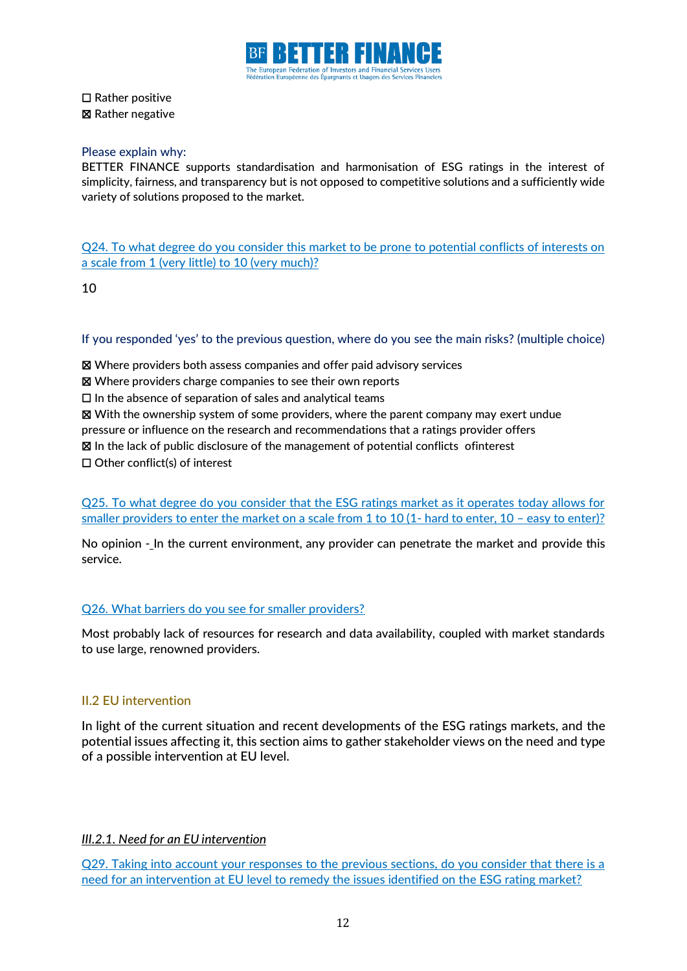

☐ Rather positive ☒ Rather negative

#### Please explain why:

BETTER FINANCE supports standardisation and harmonisation of ESG ratings in the interest of simplicity, fairness, and transparency but is not opposed to competitive solutions and a sufficiently wide variety of solutions proposed to the market.

Q24. To what degree do you consider this market to be prone to potential conflicts of interests on a scale from 1 (very little) to 10 (very much)?

10

If you responded 'yes' to the previous question, where do you see the main risks? (multiple choice)

☒ Where providers both assess companies and offer paid advisory services

☒ Where providers charge companies to see their own reports

 $\Box$  In the absence of separation of sales and analytical teams

☒ With the ownership system of some providers, where the parent company may exert undue

pressure or influence on the research and recommendations that a ratings provider offers

☒ In the lack of public disclosure of the management of potential conflicts ofinterest

☐ Other conflict(s) of interest

Q25. To what degree do you consider that the ESG ratings market as it operates today allows for smaller providers to enter the market on a scale from 1 to 10 (1- hard to enter, 10 – easy to enter)?

No opinion - In the current environment, any provider can penetrate the market and provide this service.

#### Q26. What barriers do you see for smaller providers?

Most probably lack of resources for research and data availability, coupled with market standards to use large, renowned providers.

#### <span id="page-11-0"></span>II.2 EU intervention

In light of the current situation and recent developments of the ESG ratings markets, and the potential issues affecting it, this section aims to gather stakeholder views on the need and type of a possible intervention at EU level.

### *III.2.1. Need for an EU intervention*

Q29. Taking into account your responses to the previous sections, do you consider that there is a need for an intervention at EU level to remedy the issues identified on the ESG rating market?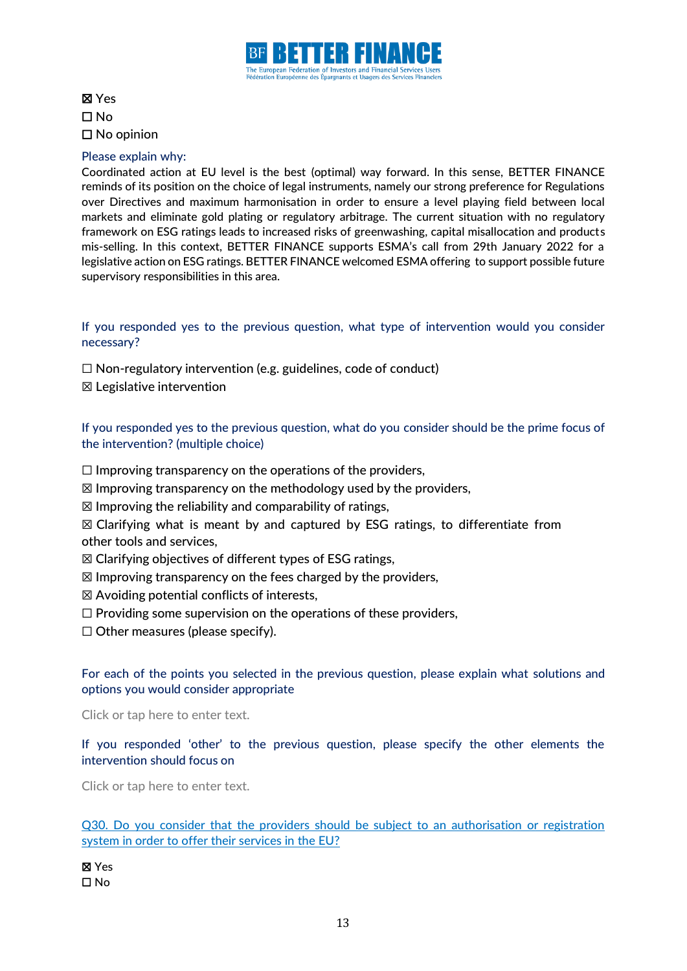

## ☒ Yes ☐ No ☐ No opinion

### Please explain why:

Coordinated action at EU level is the best (optimal) way forward. In this sense, BETTER FINANCE reminds of its position on the choice of legal instruments, namely our strong preference for Regulations over Directives and maximum harmonisation in order to ensure a level playing field between local markets and eliminate gold plating or regulatory arbitrage. The current situation with no regulatory framework on ESG ratings leads to increased risks of greenwashing, capital misallocation and products mis-selling. In this context, BETTER FINANCE supports ESMA's call from 29th January 2022 for a legislative action on ESG ratings. BETTER FINANCE welcomed ESMA offering to support possible future supervisory responsibilities in this area.

If you responded yes to the previous question, what type of intervention would you consider necessary?

 $\Box$  Non-regulatory intervention (e.g. guidelines, code of conduct)

☒ Legislative intervention

If you responded yes to the previous question, what do you consider should be the prime focus of the intervention? (multiple choice)

- $\Box$  Improving transparency on the operations of the providers,
- $\boxtimes$  Improving transparency on the methodology used by the providers,
- $\boxtimes$  Improving the reliability and comparability of ratings,
- $\boxtimes$  Clarifying what is meant by and captured by ESG ratings, to differentiate from other tools and services,
- $\boxtimes$  Clarifying objectives of different types of ESG ratings,
- $\boxtimes$  Improving transparency on the fees charged by the providers,
- $\boxtimes$  Avoiding potential conflicts of interests,
- $\Box$  Providing some supervision on the operations of these providers,
- $\Box$  Other measures (please specify).

### For each of the points you selected in the previous question, please explain what solutions and options you would consider appropriate

Click or tap here to enter text.

If you responded 'other' to the previous question, please specify the other elements the intervention should focus on

Click or tap here to enter text.

Q30. Do you consider that the providers should be subject to an authorisation or registration system in order to offer their services in the EU?

☒ Yes ☐ No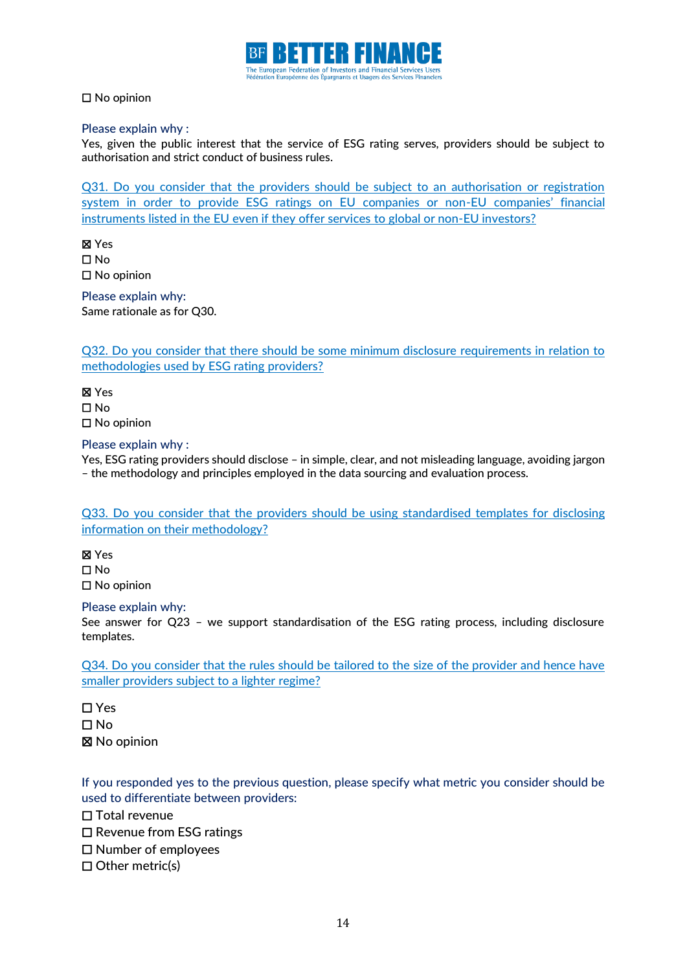

☐ No opinion

Please explain why :

Yes, given the public interest that the service of ESG rating serves, providers should be subject to authorisation and strict conduct of business rules.

Q31. Do you consider that the providers should be subject to an authorisation or registration system in order to provide ESG ratings on EU companies or non-EU companies' financial instruments listed in the EU even if they offer services to global or non-EU investors?

☒ Yes ☐ No ☐ No opinion

Please explain why: Same rationale as for Q30.

Q32. Do you consider that there should be some minimum disclosure requirements in relation to methodologies used by ESG rating providers?

☒ Yes ☐ No ☐ No opinion

#### Please explain why :

Yes, ESG rating providers should disclose – in simple, clear, and not misleading language, avoiding jargon – the methodology and principles employed in the data sourcing and evaluation process.

Q33. Do you consider that the providers should be using standardised templates for disclosing information on their methodology?

☒ Yes ☐ No ☐ No opinion

Please explain why:

See answer for Q23 – we support standardisation of the ESG rating process, including disclosure templates.

Q34. Do you consider that the rules should be tailored to the size of the provider and hence have smaller providers subject to a lighter regime?

☐ Yes ☐ No ☒ No opinion

If you responded yes to the previous question, please specify what metric you consider should be used to differentiate between providers:

☐ Total revenue

- ☐ Revenue from ESG ratings
- ☐ Number of employees
- ☐ Other metric(s)